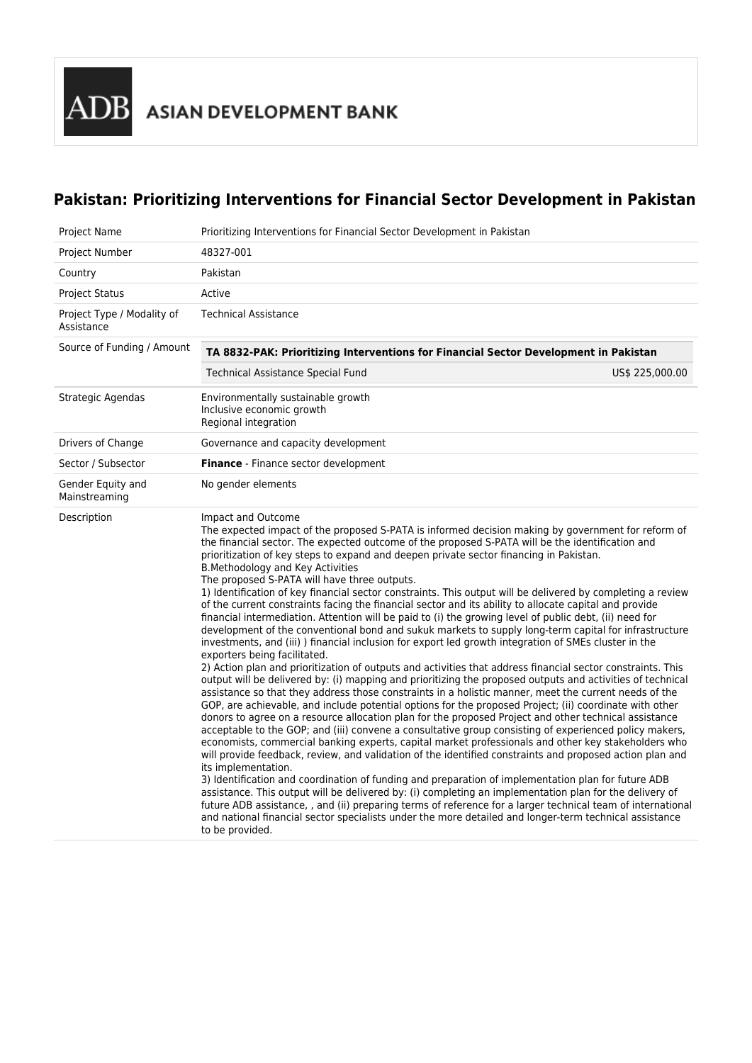# **Pakistan: Prioritizing Interventions for Financial Sector Development in Pakistan**

| Project Name                             | Prioritizing Interventions for Financial Sector Development in Pakistan                                                                                                                                                                                                                                                                                                                                                                                                                                                                                                                                                                                                                                                                                                                                                                                                                                                                                                                                                                                                                                                                                                                                                                                                                                                                                                                                                                                                                                                                                                                                                                                                                                                                                                                                                                                                                                                                                                                                                                                                                                                                                                                                                                                                                                                                                                            |  |  |  |  |  |  |
|------------------------------------------|------------------------------------------------------------------------------------------------------------------------------------------------------------------------------------------------------------------------------------------------------------------------------------------------------------------------------------------------------------------------------------------------------------------------------------------------------------------------------------------------------------------------------------------------------------------------------------------------------------------------------------------------------------------------------------------------------------------------------------------------------------------------------------------------------------------------------------------------------------------------------------------------------------------------------------------------------------------------------------------------------------------------------------------------------------------------------------------------------------------------------------------------------------------------------------------------------------------------------------------------------------------------------------------------------------------------------------------------------------------------------------------------------------------------------------------------------------------------------------------------------------------------------------------------------------------------------------------------------------------------------------------------------------------------------------------------------------------------------------------------------------------------------------------------------------------------------------------------------------------------------------------------------------------------------------------------------------------------------------------------------------------------------------------------------------------------------------------------------------------------------------------------------------------------------------------------------------------------------------------------------------------------------------------------------------------------------------------------------------------------------------|--|--|--|--|--|--|
| Project Number                           | 48327-001                                                                                                                                                                                                                                                                                                                                                                                                                                                                                                                                                                                                                                                                                                                                                                                                                                                                                                                                                                                                                                                                                                                                                                                                                                                                                                                                                                                                                                                                                                                                                                                                                                                                                                                                                                                                                                                                                                                                                                                                                                                                                                                                                                                                                                                                                                                                                                          |  |  |  |  |  |  |
| Country                                  | Pakistan                                                                                                                                                                                                                                                                                                                                                                                                                                                                                                                                                                                                                                                                                                                                                                                                                                                                                                                                                                                                                                                                                                                                                                                                                                                                                                                                                                                                                                                                                                                                                                                                                                                                                                                                                                                                                                                                                                                                                                                                                                                                                                                                                                                                                                                                                                                                                                           |  |  |  |  |  |  |
| Project Status                           | Active                                                                                                                                                                                                                                                                                                                                                                                                                                                                                                                                                                                                                                                                                                                                                                                                                                                                                                                                                                                                                                                                                                                                                                                                                                                                                                                                                                                                                                                                                                                                                                                                                                                                                                                                                                                                                                                                                                                                                                                                                                                                                                                                                                                                                                                                                                                                                                             |  |  |  |  |  |  |
| Project Type / Modality of<br>Assistance | <b>Technical Assistance</b>                                                                                                                                                                                                                                                                                                                                                                                                                                                                                                                                                                                                                                                                                                                                                                                                                                                                                                                                                                                                                                                                                                                                                                                                                                                                                                                                                                                                                                                                                                                                                                                                                                                                                                                                                                                                                                                                                                                                                                                                                                                                                                                                                                                                                                                                                                                                                        |  |  |  |  |  |  |
| Source of Funding / Amount               | TA 8832-PAK: Prioritizing Interventions for Financial Sector Development in Pakistan                                                                                                                                                                                                                                                                                                                                                                                                                                                                                                                                                                                                                                                                                                                                                                                                                                                                                                                                                                                                                                                                                                                                                                                                                                                                                                                                                                                                                                                                                                                                                                                                                                                                                                                                                                                                                                                                                                                                                                                                                                                                                                                                                                                                                                                                                               |  |  |  |  |  |  |
|                                          | Technical Assistance Special Fund<br>US\$ 225,000.00                                                                                                                                                                                                                                                                                                                                                                                                                                                                                                                                                                                                                                                                                                                                                                                                                                                                                                                                                                                                                                                                                                                                                                                                                                                                                                                                                                                                                                                                                                                                                                                                                                                                                                                                                                                                                                                                                                                                                                                                                                                                                                                                                                                                                                                                                                                               |  |  |  |  |  |  |
| Strategic Agendas                        | Environmentally sustainable growth<br>Inclusive economic growth<br>Regional integration                                                                                                                                                                                                                                                                                                                                                                                                                                                                                                                                                                                                                                                                                                                                                                                                                                                                                                                                                                                                                                                                                                                                                                                                                                                                                                                                                                                                                                                                                                                                                                                                                                                                                                                                                                                                                                                                                                                                                                                                                                                                                                                                                                                                                                                                                            |  |  |  |  |  |  |
| Drivers of Change                        | Governance and capacity development                                                                                                                                                                                                                                                                                                                                                                                                                                                                                                                                                                                                                                                                                                                                                                                                                                                                                                                                                                                                                                                                                                                                                                                                                                                                                                                                                                                                                                                                                                                                                                                                                                                                                                                                                                                                                                                                                                                                                                                                                                                                                                                                                                                                                                                                                                                                                |  |  |  |  |  |  |
| Sector / Subsector                       | Finance - Finance sector development                                                                                                                                                                                                                                                                                                                                                                                                                                                                                                                                                                                                                                                                                                                                                                                                                                                                                                                                                                                                                                                                                                                                                                                                                                                                                                                                                                                                                                                                                                                                                                                                                                                                                                                                                                                                                                                                                                                                                                                                                                                                                                                                                                                                                                                                                                                                               |  |  |  |  |  |  |
| Gender Equity and<br>Mainstreaming       | No gender elements                                                                                                                                                                                                                                                                                                                                                                                                                                                                                                                                                                                                                                                                                                                                                                                                                                                                                                                                                                                                                                                                                                                                                                                                                                                                                                                                                                                                                                                                                                                                                                                                                                                                                                                                                                                                                                                                                                                                                                                                                                                                                                                                                                                                                                                                                                                                                                 |  |  |  |  |  |  |
| Description                              | Impact and Outcome<br>The expected impact of the proposed S-PATA is informed decision making by government for reform of<br>the financial sector. The expected outcome of the proposed S-PATA will be the identification and<br>prioritization of key steps to expand and deepen private sector financing in Pakistan.<br><b>B.Methodology and Key Activities</b><br>The proposed S-PATA will have three outputs.<br>1) Identification of key financial sector constraints. This output will be delivered by completing a review<br>of the current constraints facing the financial sector and its ability to allocate capital and provide<br>financial intermediation. Attention will be paid to (i) the growing level of public debt, (ii) need for<br>development of the conventional bond and sukuk markets to supply long-term capital for infrastructure<br>investments, and (iii)) financial inclusion for export led growth integration of SMEs cluster in the<br>exporters being facilitated.<br>2) Action plan and prioritization of outputs and activities that address financial sector constraints. This<br>output will be delivered by: (i) mapping and prioritizing the proposed outputs and activities of technical<br>assistance so that they address those constraints in a holistic manner, meet the current needs of the<br>GOP, are achievable, and include potential options for the proposed Project; (ii) coordinate with other<br>donors to agree on a resource allocation plan for the proposed Project and other technical assistance<br>acceptable to the GOP; and (iii) convene a consultative group consisting of experienced policy makers,<br>economists, commercial banking experts, capital market professionals and other key stakeholders who<br>will provide feedback, review, and validation of the identified constraints and proposed action plan and<br>its implementation.<br>3) Identification and coordination of funding and preparation of implementation plan for future ADB<br>assistance. This output will be delivered by: (i) completing an implementation plan for the delivery of<br>future ADB assistance, , and (ii) preparing terms of reference for a larger technical team of international<br>and national financial sector specialists under the more detailed and longer-term technical assistance<br>to be provided. |  |  |  |  |  |  |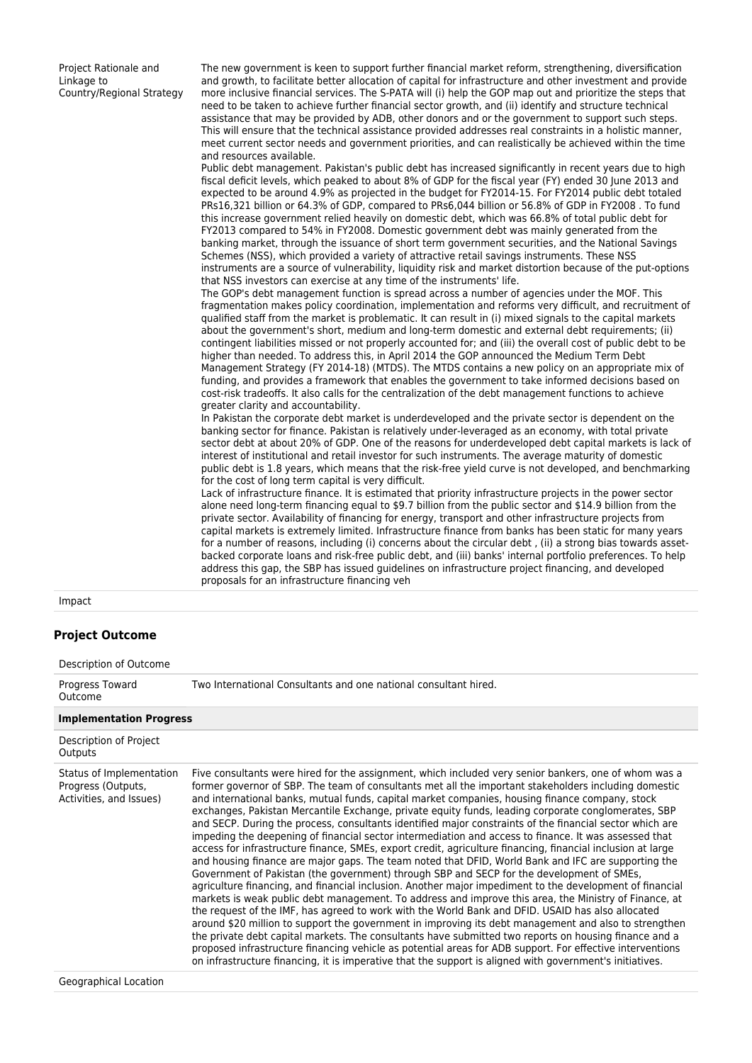Project Rationale and Linkage to Country/Regional Strategy The new government is keen to support further financial market reform, strengthening, diversification and growth, to facilitate better allocation of capital for infrastructure and other investment and provide more inclusive financial services. The S-PATA will (i) help the GOP map out and prioritize the steps that need to be taken to achieve further financial sector growth, and (ii) identify and structure technical assistance that may be provided by ADB, other donors and or the government to support such steps. This will ensure that the technical assistance provided addresses real constraints in a holistic manner, meet current sector needs and government priorities, and can realistically be achieved within the time and resources available.

Public debt management. Pakistan's public debt has increased significantly in recent years due to high fiscal deficit levels, which peaked to about 8% of GDP for the fiscal year (FY) ended 30 June 2013 and expected to be around 4.9% as projected in the budget for FY2014-15. For FY2014 public debt totaled PRs16,321 billion or 64.3% of GDP, compared to PRs6,044 billion or 56.8% of GDP in FY2008 . To fund this increase government relied heavily on domestic debt, which was 66.8% of total public debt for FY2013 compared to 54% in FY2008. Domestic government debt was mainly generated from the banking market, through the issuance of short term government securities, and the National Savings Schemes (NSS), which provided a variety of attractive retail savings instruments. These NSS instruments are a source of vulnerability, liquidity risk and market distortion because of the put-options that NSS investors can exercise at any time of the instruments' life.

The GOP's debt management function is spread across a number of agencies under the MOF. This fragmentation makes policy coordination, implementation and reforms very difficult, and recruitment of qualified staff from the market is problematic. It can result in (i) mixed signals to the capital markets about the government's short, medium and long-term domestic and external debt requirements; (ii) contingent liabilities missed or not properly accounted for; and (iii) the overall cost of public debt to be higher than needed. To address this, in April 2014 the GOP announced the Medium Term Debt Management Strategy (FY 2014-18) (MTDS). The MTDS contains a new policy on an appropriate mix of funding, and provides a framework that enables the government to take informed decisions based on cost-risk tradeoffs. It also calls for the centralization of the debt management functions to achieve greater clarity and accountability.

In Pakistan the corporate debt market is underdeveloped and the private sector is dependent on the banking sector for finance. Pakistan is relatively under-leveraged as an economy, with total private sector debt at about 20% of GDP. One of the reasons for underdeveloped debt capital markets is lack of interest of institutional and retail investor for such instruments. The average maturity of domestic public debt is 1.8 years, which means that the risk-free yield curve is not developed, and benchmarking for the cost of long term capital is very difficult.

Lack of infrastructure finance. It is estimated that priority infrastructure projects in the power sector alone need long-term financing equal to \$9.7 billion from the public sector and \$14.9 billion from the private sector. Availability of financing for energy, transport and other infrastructure projects from capital markets is extremely limited. Infrastructure finance from banks has been static for many years for a number of reasons, including (i) concerns about the circular debt , (ii) a strong bias towards assetbacked corporate loans and risk-free public debt, and (iii) banks' internal portfolio preferences. To help address this gap, the SBP has issued guidelines on infrastructure project financing, and developed proposals for an infrastructure financing veh

Impact

#### **Project Outcome**

| Description of Outcome                                                    |                                                                                                                                                                                                                                                                                                                                                                                                                                                                                                                                                                                                                                                                                                                                                                                                                                                                                                                                                                                                                                                                                                                                                                                                                                                                                                                                                                                                                                                                                                                                                                                                                                                                                                                                       |
|---------------------------------------------------------------------------|---------------------------------------------------------------------------------------------------------------------------------------------------------------------------------------------------------------------------------------------------------------------------------------------------------------------------------------------------------------------------------------------------------------------------------------------------------------------------------------------------------------------------------------------------------------------------------------------------------------------------------------------------------------------------------------------------------------------------------------------------------------------------------------------------------------------------------------------------------------------------------------------------------------------------------------------------------------------------------------------------------------------------------------------------------------------------------------------------------------------------------------------------------------------------------------------------------------------------------------------------------------------------------------------------------------------------------------------------------------------------------------------------------------------------------------------------------------------------------------------------------------------------------------------------------------------------------------------------------------------------------------------------------------------------------------------------------------------------------------|
| Progress Toward<br>Outcome                                                | Two International Consultants and one national consultant hired.                                                                                                                                                                                                                                                                                                                                                                                                                                                                                                                                                                                                                                                                                                                                                                                                                                                                                                                                                                                                                                                                                                                                                                                                                                                                                                                                                                                                                                                                                                                                                                                                                                                                      |
| <b>Implementation Progress</b>                                            |                                                                                                                                                                                                                                                                                                                                                                                                                                                                                                                                                                                                                                                                                                                                                                                                                                                                                                                                                                                                                                                                                                                                                                                                                                                                                                                                                                                                                                                                                                                                                                                                                                                                                                                                       |
| Description of Project<br>Outputs                                         |                                                                                                                                                                                                                                                                                                                                                                                                                                                                                                                                                                                                                                                                                                                                                                                                                                                                                                                                                                                                                                                                                                                                                                                                                                                                                                                                                                                                                                                                                                                                                                                                                                                                                                                                       |
| Status of Implementation<br>Progress (Outputs,<br>Activities, and Issues) | Five consultants were hired for the assignment, which included very senior bankers, one of whom was a<br>former governor of SBP. The team of consultants met all the important stakeholders including domestic<br>and international banks, mutual funds, capital market companies, housing finance company, stock<br>exchanges, Pakistan Mercantile Exchange, private equity funds, leading corporate conglomerates, SBP<br>and SECP. During the process, consultants identified major constraints of the financial sector which are<br>impeding the deepening of financial sector intermediation and access to finance. It was assessed that<br>access for infrastructure finance, SMEs, export credit, agriculture financing, financial inclusion at large<br>and housing finance are major gaps. The team noted that DFID, World Bank and IFC are supporting the<br>Government of Pakistan (the government) through SBP and SECP for the development of SMEs,<br>agriculture financing, and financial inclusion. Another major impediment to the development of financial<br>markets is weak public debt management. To address and improve this area, the Ministry of Finance, at<br>the request of the IMF, has agreed to work with the World Bank and DFID. USAID has also allocated<br>around \$20 million to support the government in improving its debt management and also to strengthen<br>the private debt capital markets. The consultants have submitted two reports on housing finance and a<br>proposed infrastructure financing vehicle as potential areas for ADB support. For effective interventions<br>on infrastructure financing, it is imperative that the support is aligned with government's initiatives. |

Geographical Location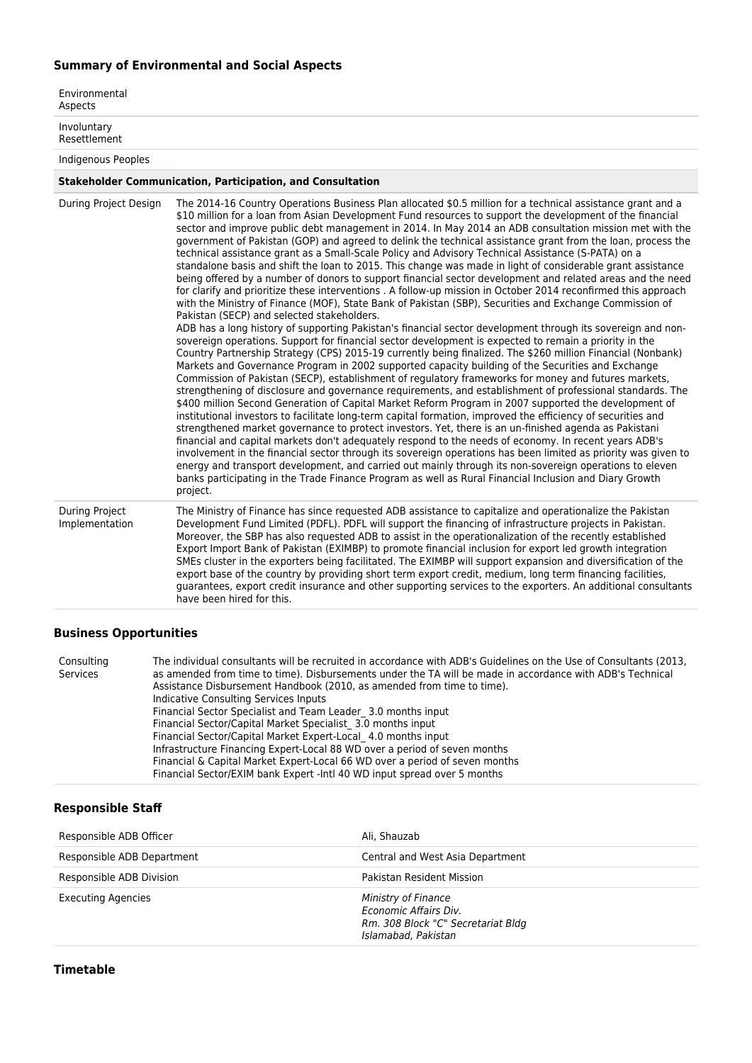## **Summary of Environmental and Social Aspects**

| Environmental<br>Aspects                |                                                                                                                                                                                                                                                                                                                                                                                                                                                                                                                                                                                                                                                                                                                                                                                                                                                                                                                                                                                                                                                                                                                                                                                                                                                                                                                                                                                                                                                                                                                                                                                                                                                                                                                                                                                                                                                                                                                                                                                                                                                                                                                                                                                                                                                                                                                                                                                                                                                                                                                                  |
|-----------------------------------------|----------------------------------------------------------------------------------------------------------------------------------------------------------------------------------------------------------------------------------------------------------------------------------------------------------------------------------------------------------------------------------------------------------------------------------------------------------------------------------------------------------------------------------------------------------------------------------------------------------------------------------------------------------------------------------------------------------------------------------------------------------------------------------------------------------------------------------------------------------------------------------------------------------------------------------------------------------------------------------------------------------------------------------------------------------------------------------------------------------------------------------------------------------------------------------------------------------------------------------------------------------------------------------------------------------------------------------------------------------------------------------------------------------------------------------------------------------------------------------------------------------------------------------------------------------------------------------------------------------------------------------------------------------------------------------------------------------------------------------------------------------------------------------------------------------------------------------------------------------------------------------------------------------------------------------------------------------------------------------------------------------------------------------------------------------------------------------------------------------------------------------------------------------------------------------------------------------------------------------------------------------------------------------------------------------------------------------------------------------------------------------------------------------------------------------------------------------------------------------------------------------------------------------|
| Involuntary<br>Resettlement             |                                                                                                                                                                                                                                                                                                                                                                                                                                                                                                                                                                                                                                                                                                                                                                                                                                                                                                                                                                                                                                                                                                                                                                                                                                                                                                                                                                                                                                                                                                                                                                                                                                                                                                                                                                                                                                                                                                                                                                                                                                                                                                                                                                                                                                                                                                                                                                                                                                                                                                                                  |
| Indigenous Peoples                      |                                                                                                                                                                                                                                                                                                                                                                                                                                                                                                                                                                                                                                                                                                                                                                                                                                                                                                                                                                                                                                                                                                                                                                                                                                                                                                                                                                                                                                                                                                                                                                                                                                                                                                                                                                                                                                                                                                                                                                                                                                                                                                                                                                                                                                                                                                                                                                                                                                                                                                                                  |
|                                         | <b>Stakeholder Communication, Participation, and Consultation</b>                                                                                                                                                                                                                                                                                                                                                                                                                                                                                                                                                                                                                                                                                                                                                                                                                                                                                                                                                                                                                                                                                                                                                                                                                                                                                                                                                                                                                                                                                                                                                                                                                                                                                                                                                                                                                                                                                                                                                                                                                                                                                                                                                                                                                                                                                                                                                                                                                                                                |
| During Project Design                   | The 2014-16 Country Operations Business Plan allocated \$0.5 million for a technical assistance grant and a<br>\$10 million for a loan from Asian Development Fund resources to support the development of the financial<br>sector and improve public debt management in 2014. In May 2014 an ADB consultation mission met with the<br>government of Pakistan (GOP) and agreed to delink the technical assistance grant from the loan, process the<br>technical assistance grant as a Small-Scale Policy and Advisory Technical Assistance (S-PATA) on a<br>standalone basis and shift the loan to 2015. This change was made in light of considerable grant assistance<br>being offered by a number of donors to support financial sector development and related areas and the need<br>for clarify and prioritize these interventions . A follow-up mission in October 2014 reconfirmed this approach<br>with the Ministry of Finance (MOF), State Bank of Pakistan (SBP), Securities and Exchange Commission of<br>Pakistan (SECP) and selected stakeholders.<br>ADB has a long history of supporting Pakistan's financial sector development through its sovereign and non-<br>sovereign operations. Support for financial sector development is expected to remain a priority in the<br>Country Partnership Strategy (CPS) 2015-19 currently being finalized. The \$260 million Financial (Nonbank)<br>Markets and Governance Program in 2002 supported capacity building of the Securities and Exchange<br>Commission of Pakistan (SECP), establishment of regulatory frameworks for money and futures markets,<br>strengthening of disclosure and governance requirements, and establishment of professional standards. The<br>\$400 million Second Generation of Capital Market Reform Program in 2007 supported the development of<br>institutional investors to facilitate long-term capital formation, improved the efficiency of securities and<br>strengthened market governance to protect investors. Yet, there is an un-finished agenda as Pakistani<br>financial and capital markets don't adequately respond to the needs of economy. In recent years ADB's<br>involvement in the financial sector through its sovereign operations has been limited as priority was given to<br>energy and transport development, and carried out mainly through its non-sovereign operations to eleven<br>banks participating in the Trade Finance Program as well as Rural Financial Inclusion and Diary Growth<br>project. |
| <b>During Project</b><br>Implementation | The Ministry of Finance has since requested ADB assistance to capitalize and operationalize the Pakistan<br>Development Fund Limited (PDFL). PDFL will support the financing of infrastructure projects in Pakistan.<br>Moreover, the SBP has also requested ADB to assist in the operationalization of the recently established<br>Export Import Bank of Pakistan (EXIMBP) to promote financial inclusion for export led growth integration<br>SMEs cluster in the exporters being facilitated. The EXIMBP will support expansion and diversification of the<br>export base of the country by providing short term export credit, medium, long term financing facilities,<br>guarantees, export credit insurance and other supporting services to the exporters. An additional consultants<br>have been hired for this.                                                                                                                                                                                                                                                                                                                                                                                                                                                                                                                                                                                                                                                                                                                                                                                                                                                                                                                                                                                                                                                                                                                                                                                                                                                                                                                                                                                                                                                                                                                                                                                                                                                                                                         |

#### **Business Opportunities**

| Consulting | The individual consultants will be recruited in accordance with ADB's Guidelines on the Use of Consultants (2013, |
|------------|-------------------------------------------------------------------------------------------------------------------|
| Services   | as amended from time to time). Disbursements under the TA will be made in accordance with ADB's Technical         |
|            | Assistance Disbursement Handbook (2010, as amended from time to time).                                            |
|            | Indicative Consulting Services Inputs                                                                             |
|            | Financial Sector Specialist and Team Leader 3.0 months input                                                      |
|            | Financial Sector/Capital Market Specialist 3.0 months input                                                       |
|            | Financial Sector/Capital Market Expert-Local 4.0 months input                                                     |
|            | Infrastructure Financing Expert-Local 88 WD over a period of seven months                                         |
|            | Financial & Capital Market Expert-Local 66 WD over a period of seven months                                       |
|            | Financial Sector/EXIM bank Expert - Intl 40 WD input spread over 5 months                                         |

### **Responsible Staff**

| Responsible ADB Officer    | Ali, Shauzab                                                                                              |
|----------------------------|-----------------------------------------------------------------------------------------------------------|
| Responsible ADB Department | Central and West Asia Department                                                                          |
| Responsible ADB Division   | <b>Pakistan Resident Mission</b>                                                                          |
| <b>Executing Agencies</b>  | Ministry of Finance<br>Fronomic Affairs Div.<br>Rm. 308 Block "C" Secretariat Bldg<br>Islamabad, Pakistan |